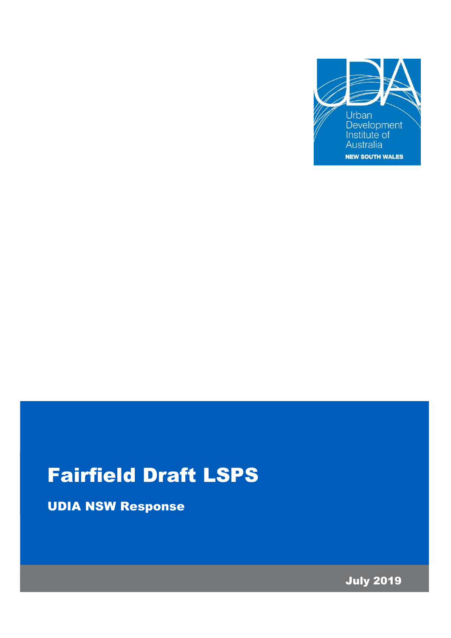

# Fairfield Draft LSPS

UDIA NSW Response

July 2019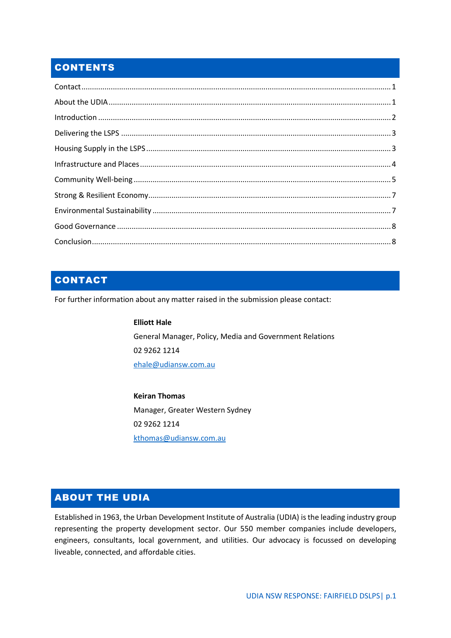## **CONTENTS**

# <span id="page-1-0"></span>CONTACT

For further information about any matter raised in the submission please contact:

**Elliott Hale** General Manager, Policy, Media and Government Relations 02 9262 1214 [ehale@udiansw.com.au](mailto:ehale@udiansw.com.au)

**Keiran Thomas** Manager, Greater Western Sydney 02 9262 1214 [kthomas@udiansw.com.au](mailto:kthomas@udiansw.com.au)

## <span id="page-1-1"></span>ABOUT THE UDIA

Established in 1963, the Urban Development Institute of Australia (UDIA) is the leading industry group representing the property development sector. Our 550 member companies include developers, engineers, consultants, local government, and utilities. Our advocacy is focussed on developing liveable, connected, and affordable cities.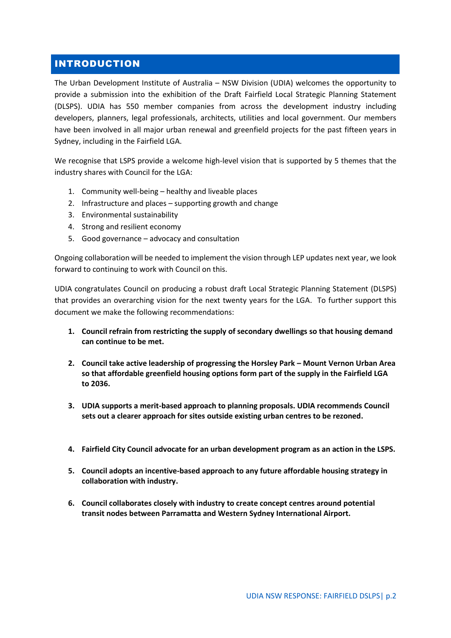#### <span id="page-2-0"></span>INTRODUCTION

The Urban Development Institute of Australia – NSW Division (UDIA) welcomes the opportunity to provide a submission into the exhibition of the Draft Fairfield Local Strategic Planning Statement (DLSPS). UDIA has 550 member companies from across the development industry including developers, planners, legal professionals, architects, utilities and local government. Our members have been involved in all major urban renewal and greenfield projects for the past fifteen years in Sydney, including in the Fairfield LGA.

We recognise that LSPS provide a welcome high-level vision that is supported by 5 themes that the industry shares with Council for the LGA:

- 1. Community well-being healthy and liveable places
- 2. Infrastructure and places supporting growth and change
- 3. Environmental sustainability
- 4. Strong and resilient economy
- 5. Good governance advocacy and consultation

Ongoing collaboration will be needed to implement the vision through LEP updates next year, we look forward to continuing to work with Council on this.

UDIA congratulates Council on producing a robust draft Local Strategic Planning Statement (DLSPS) that provides an overarching vision for the next twenty years for the LGA. To further support this document we make the following recommendations:

- **1. Council refrain from restricting the supply of secondary dwellings so that housing demand can continue to be met.**
- **2. Council take active leadership of progressing the Horsley Park – Mount Vernon Urban Area so that affordable greenfield housing options form part of the supply in the Fairfield LGA to 2036.**
- **3. UDIA supports a merit-based approach to planning proposals. UDIA recommends Council sets out a clearer approach for sites outside existing urban centres to be rezoned.**
- **4. Fairfield City Council advocate for an urban development program as an action in the LSPS.**
- **5. Council adopts an incentive-based approach to any future affordable housing strategy in collaboration with industry.**
- **6. Council collaborates closely with industry to create concept centres around potential transit nodes between Parramatta and Western Sydney International Airport.**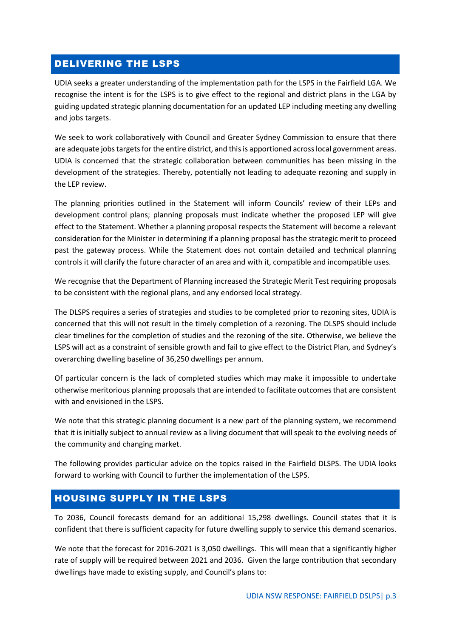#### <span id="page-3-0"></span>DELIVERING THE LSPS

UDIA seeks a greater understanding of the implementation path for the LSPS in the Fairfield LGA. We recognise the intent is for the LSPS is to give effect to the regional and district plans in the LGA by guiding updated strategic planning documentation for an updated LEP including meeting any dwelling and jobs targets.

We seek to work collaboratively with Council and Greater Sydney Commission to ensure that there are adequate jobs targets for the entire district, and this is apportioned across local government areas. UDIA is concerned that the strategic collaboration between communities has been missing in the development of the strategies. Thereby, potentially not leading to adequate rezoning and supply in the LEP review.

The planning priorities outlined in the Statement will inform Councils' review of their LEPs and development control plans; planning proposals must indicate whether the proposed LEP will give effect to the Statement. Whether a planning proposal respects the Statement will become a relevant consideration for the Minister in determining if a planning proposal has the strategic merit to proceed past the gateway process. While the Statement does not contain detailed and technical planning controls it will clarify the future character of an area and with it, compatible and incompatible uses.

We recognise that the Department of Planning increased the Strategic Merit Test requiring proposals to be consistent with the regional plans, and any endorsed local strategy.

The DLSPS requires a series of strategies and studies to be completed prior to rezoning sites, UDIA is concerned that this will not result in the timely completion of a rezoning. The DLSPS should include clear timelines for the completion of studies and the rezoning of the site. Otherwise, we believe the LSPS will act as a constraint of sensible growth and fail to give effect to the District Plan, and Sydney's overarching dwelling baseline of 36,250 dwellings per annum.

Of particular concern is the lack of completed studies which may make it impossible to undertake otherwise meritorious planning proposals that are intended to facilitate outcomes that are consistent with and envisioned in the LSPS.

We note that this strategic planning document is a new part of the planning system, we recommend that it is initially subject to annual review as a living document that will speak to the evolving needs of the community and changing market.

The following provides particular advice on the topics raised in the Fairfield DLSPS. The UDIA looks forward to working with Council to further the implementation of the LSPS.

#### <span id="page-3-1"></span>HOUSING SUPPLY IN THE LSPS

To 2036, Council forecasts demand for an additional 15,298 dwellings. Council states that it is confident that there is sufficient capacity for future dwelling supply to service this demand scenarios.

We note that the forecast for 2016-2021 is 3,050 dwellings. This will mean that a significantly higher rate of supply will be required between 2021 and 2036. Given the large contribution that secondary dwellings have made to existing supply, and Council's plans to: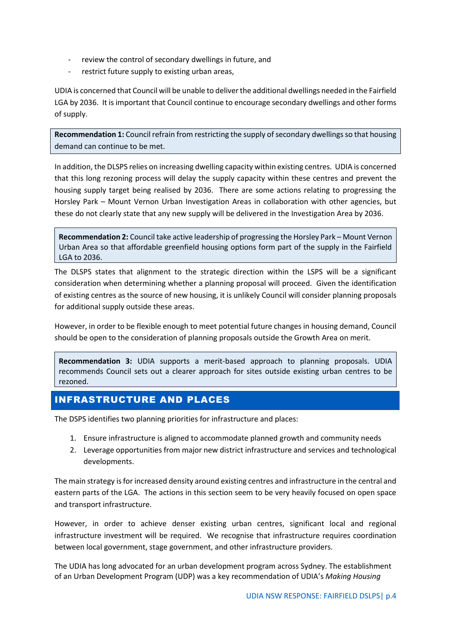- review the control of secondary dwellings in future, and
- restrict future supply to existing urban areas,

UDIA is concerned that Council will be unable to deliver the additional dwellings needed in the Fairfield LGA by 2036. It is important that Council continue to encourage secondary dwellings and other forms of supply.

**Recommendation 1:** Council refrain from restricting the supply of secondary dwellings so that housing demand can continue to be met.

In addition, the DLSPS relies on increasing dwelling capacity within existing centres. UDIA is concerned that this long rezoning process will delay the supply capacity within these centres and prevent the housing supply target being realised by 2036. There are some actions relating to progressing the Horsley Park – Mount Vernon Urban Investigation Areas in collaboration with other agencies, but these do not clearly state that any new supply will be delivered in the Investigation Area by 2036.

**Recommendation 2:** Council take active leadership of progressing the Horsley Park – Mount Vernon Urban Area so that affordable greenfield housing options form part of the supply in the Fairfield LGA to 2036.

The DLSPS states that alignment to the strategic direction within the LSPS will be a significant consideration when determining whether a planning proposal will proceed. Given the identification of existing centres as the source of new housing, it is unlikely Council will consider planning proposals for additional supply outside these areas.

However, in order to be flexible enough to meet potential future changes in housing demand, Council should be open to the consideration of planning proposals outside the Growth Area on merit.

**Recommendation 3:** UDIA supports a merit-based approach to planning proposals. UDIA recommends Council sets out a clearer approach for sites outside existing urban centres to be rezoned.

## <span id="page-4-0"></span>INFRASTRUCTURE AND PLACES

The DSPS identifies two planning priorities for infrastructure and places:

- 1. Ensure infrastructure is aligned to accommodate planned growth and community needs
- 2. Leverage opportunities from major new district infrastructure and services and technological developments.

The main strategy is for increased density around existing centres and infrastructure in the central and eastern parts of the LGA. The actions in this section seem to be very heavily focused on open space and transport infrastructure.

However, in order to achieve denser existing urban centres, significant local and regional infrastructure investment will be required. We recognise that infrastructure requires coordination between local government, stage government, and other infrastructure providers.

The UDIA has long advocated for an urban development program across Sydney. The establishment of an Urban Development Program (UDP) was a key recommendation of UDIA's *Making Housing*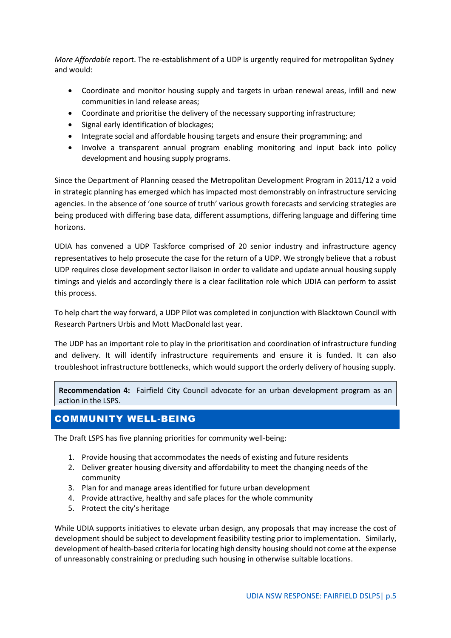*More Affordable* report. The re-establishment of a UDP is urgently required for metropolitan Sydney and would:

- Coordinate and monitor housing supply and targets in urban renewal areas, infill and new communities in land release areas;
- Coordinate and prioritise the delivery of the necessary supporting infrastructure;
- Signal early identification of blockages;
- Integrate social and affordable housing targets and ensure their programming; and
- Involve a transparent annual program enabling monitoring and input back into policy development and housing supply programs.

Since the Department of Planning ceased the Metropolitan Development Program in 2011/12 a void in strategic planning has emerged which has impacted most demonstrably on infrastructure servicing agencies. In the absence of 'one source of truth' various growth forecasts and servicing strategies are being produced with differing base data, different assumptions, differing language and differing time horizons.

UDIA has convened a UDP Taskforce comprised of 20 senior industry and infrastructure agency representatives to help prosecute the case for the return of a UDP. We strongly believe that a robust UDP requires close development sector liaison in order to validate and update annual housing supply timings and yields and accordingly there is a clear facilitation role which UDIA can perform to assist this process.

To help chart the way forward, a UDP Pilot was completed in conjunction with Blacktown Council with Research Partners Urbis and Mott MacDonald last year.

The UDP has an important role to play in the prioritisation and coordination of infrastructure funding and delivery. It will identify infrastructure requirements and ensure it is funded. It can also troubleshoot infrastructure bottlenecks, which would support the orderly delivery of housing supply.

**Recommendation 4:** Fairfield City Council advocate for an urban development program as an action in the LSPS.

## <span id="page-5-0"></span>COMMUNITY WELL-BEING

The Draft LSPS has five planning priorities for community well-being:

- 1. Provide housing that accommodates the needs of existing and future residents
- 2. Deliver greater housing diversity and affordability to meet the changing needs of the community
- 3. Plan for and manage areas identified for future urban development
- 4. Provide attractive, healthy and safe places for the whole community
- 5. Protect the city's heritage

While UDIA supports initiatives to elevate urban design, any proposals that may increase the cost of development should be subject to development feasibility testing prior to implementation. Similarly, development of health-based criteria for locating high density housing should not come at the expense of unreasonably constraining or precluding such housing in otherwise suitable locations.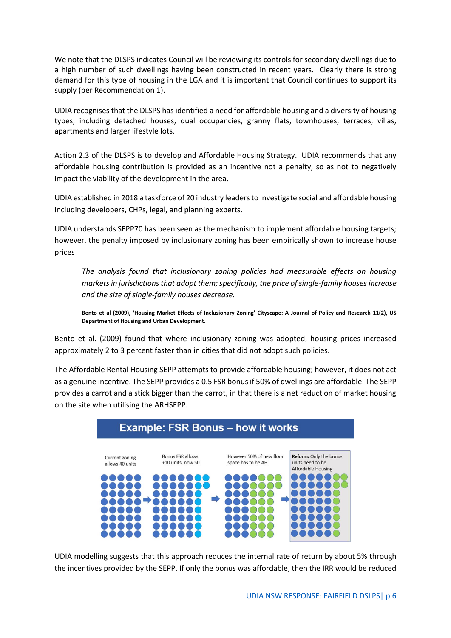We note that the DLSPS indicates Council will be reviewing its controls for secondary dwellings due to a high number of such dwellings having been constructed in recent years. Clearly there is strong demand for this type of housing in the LGA and it is important that Council continues to support its supply (per Recommendation 1).

UDIA recognises that the DLSPS has identified a need for affordable housing and a diversity of housing types, including detached houses, dual occupancies, granny flats, townhouses, terraces, villas, apartments and larger lifestyle lots.

Action 2.3 of the DLSPS is to develop and Affordable Housing Strategy. UDIA recommends that any affordable housing contribution is provided as an incentive not a penalty, so as not to negatively impact the viability of the development in the area.

UDIA established in 2018 a taskforce of 20 industry leaders to investigate social and affordable housing including developers, CHPs, legal, and planning experts.

UDIA understands SEPP70 has been seen as the mechanism to implement affordable housing targets; however, the penalty imposed by inclusionary zoning has been empirically shown to increase house prices

*The analysis found that inclusionary zoning policies had measurable effects on housing markets in jurisdictions that adopt them; specifically, the price of single-family houses increase and the size of single-family houses decrease.* 

**Bento et al (2009), 'Housing Market Effects of Inclusionary Zoning' Cityscape: A Journal of Policy and Research 11(2), US Department of Housing and Urban Development.** 

Bento et al. (2009) found that where inclusionary zoning was adopted, housing prices increased approximately 2 to 3 percent faster than in cities that did not adopt such policies.

The Affordable Rental Housing SEPP attempts to provide affordable housing; however, it does not act as a genuine incentive. The SEPP provides a 0.5 FSR bonus if 50% of dwellings are affordable. The SEPP provides a carrot and a stick bigger than the carrot, in that there is a net reduction of market housing on the site when utilising the ARHSEPP.



UDIA modelling suggests that this approach reduces the internal rate of return by about 5% through the incentives provided by the SEPP. If only the bonus was affordable, then the IRR would be reduced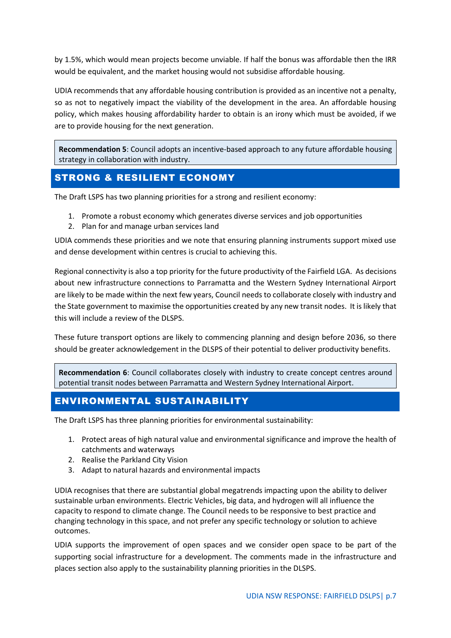by 1.5%, which would mean projects become unviable. If half the bonus was affordable then the IRR would be equivalent, and the market housing would not subsidise affordable housing.

UDIA recommends that any affordable housing contribution is provided as an incentive not a penalty, so as not to negatively impact the viability of the development in the area. An affordable housing policy, which makes housing affordability harder to obtain is an irony which must be avoided, if we are to provide housing for the next generation.

**Recommendation 5**: Council adopts an incentive-based approach to any future affordable housing strategy in collaboration with industry.

### <span id="page-7-0"></span>STRONG & RESILIENT ECONOMY

The Draft LSPS has two planning priorities for a strong and resilient economy:

- 1. Promote a robust economy which generates diverse services and job opportunities
- 2. Plan for and manage urban services land

UDIA commends these priorities and we note that ensuring planning instruments support mixed use and dense development within centres is crucial to achieving this.

Regional connectivity is also a top priority for the future productivity of the Fairfield LGA. As decisions about new infrastructure connections to Parramatta and the Western Sydney International Airport are likely to be made within the next few years, Council needs to collaborate closely with industry and the State government to maximise the opportunities created by any new transit nodes. It is likely that this will include a review of the DLSPS.

These future transport options are likely to commencing planning and design before 2036, so there should be greater acknowledgement in the DLSPS of their potential to deliver productivity benefits.

**Recommendation 6**: Council collaborates closely with industry to create concept centres around potential transit nodes between Parramatta and Western Sydney International Airport.

#### <span id="page-7-1"></span>ENVIRONMENTAL SUSTAINABILITY

The Draft LSPS has three planning priorities for environmental sustainability:

- 1. Protect areas of high natural value and environmental significance and improve the health of catchments and waterways
- 2. Realise the Parkland City Vision
- 3. Adapt to natural hazards and environmental impacts

UDIA recognises that there are substantial global megatrends impacting upon the ability to deliver sustainable urban environments. Electric Vehicles, big data, and hydrogen will all influence the capacity to respond to climate change. The Council needs to be responsive to best practice and changing technology in this space, and not prefer any specific technology or solution to achieve outcomes.

UDIA supports the improvement of open spaces and we consider open space to be part of the supporting social infrastructure for a development. The comments made in the infrastructure and places section also apply to the sustainability planning priorities in the DLSPS.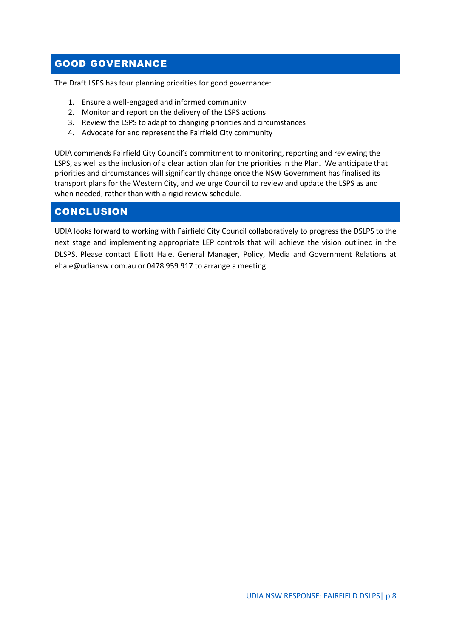## <span id="page-8-0"></span>GOOD GOVERNANCE

The Draft LSPS has four planning priorities for good governance:

- 1. Ensure a well-engaged and informed community
- 2. Monitor and report on the delivery of the LSPS actions
- 3. Review the LSPS to adapt to changing priorities and circumstances
- 4. Advocate for and represent the Fairfield City community

UDIA commends Fairfield City Council's commitment to monitoring, reporting and reviewing the LSPS, as well as the inclusion of a clear action plan for the priorities in the Plan. We anticipate that priorities and circumstances will significantly change once the NSW Government has finalised its transport plans for the Western City, and we urge Council to review and update the LSPS as and when needed, rather than with a rigid review schedule.

### <span id="page-8-1"></span>**CONCLUSION**

UDIA looks forward to working with Fairfield City Council collaboratively to progress the DSLPS to the next stage and implementing appropriate LEP controls that will achieve the vision outlined in the DLSPS. Please contact Elliott Hale, General Manager, Policy, Media and Government Relations at ehale@udiansw.com.au or 0478 959 917 to arrange a meeting.